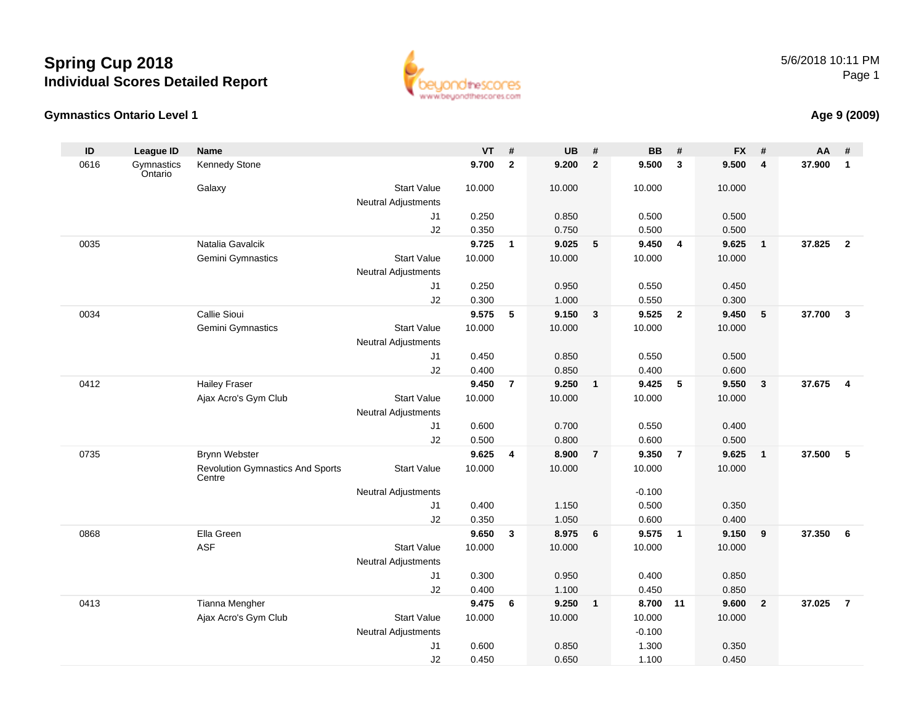



### **Age 9 (2009)**

| ID   | League ID             | <b>Name</b>                                       |                                                  | <b>VT</b> | #              | <b>UB</b> | #               | <b>BB</b> | #                       | <b>FX</b> | #              | AA     | #              |
|------|-----------------------|---------------------------------------------------|--------------------------------------------------|-----------|----------------|-----------|-----------------|-----------|-------------------------|-----------|----------------|--------|----------------|
| 0616 | Gymnastics<br>Ontario | Kennedy Stone                                     |                                                  | 9.700     | $\overline{2}$ | 9.200     | $\overline{2}$  | 9.500     | $\mathbf{3}$            | 9.500     | $\overline{4}$ | 37.900 | $\mathbf{1}$   |
|      |                       | Galaxy                                            | <b>Start Value</b><br>Neutral Adjustments        | 10.000    |                | 10.000    |                 | 10.000    |                         | 10.000    |                |        |                |
|      |                       |                                                   | J1                                               | 0.250     |                | 0.850     |                 | 0.500     |                         | 0.500     |                |        |                |
|      |                       |                                                   | J2                                               | 0.350     |                | 0.750     |                 | 0.500     |                         | 0.500     |                |        |                |
| 0035 |                       | Natalia Gavalcik                                  |                                                  | 9.725     | $\mathbf{1}$   | 9.025     | $5\phantom{.0}$ | 9.450     | $\overline{4}$          | 9.625     | $\overline{1}$ | 37.825 | $\overline{2}$ |
|      |                       | Gemini Gymnastics                                 | <b>Start Value</b>                               | 10.000    |                | 10.000    |                 | 10.000    |                         | 10.000    |                |        |                |
|      |                       |                                                   | <b>Neutral Adjustments</b>                       |           |                |           |                 |           |                         |           |                |        |                |
|      |                       |                                                   | J <sub>1</sub>                                   | 0.250     |                | 0.950     |                 | 0.550     |                         | 0.450     |                |        |                |
|      |                       |                                                   | J2                                               | 0.300     |                | 1.000     |                 | 0.550     |                         | 0.300     |                |        |                |
| 0034 |                       | Callie Sioui                                      |                                                  | 9.575     | $\sqrt{5}$     | 9.150     | $\mathbf{3}$    | 9.525     | $\overline{\mathbf{2}}$ | 9.450     | 5              | 37.700 | $\mathbf{3}$   |
|      |                       | Gemini Gymnastics                                 | <b>Start Value</b><br><b>Neutral Adjustments</b> | 10.000    |                | 10.000    |                 | 10.000    |                         | 10.000    |                |        |                |
|      |                       |                                                   | J1                                               | 0.450     |                | 0.850     |                 | 0.550     |                         | 0.500     |                |        |                |
|      |                       |                                                   | J2                                               | 0.400     |                | 0.850     |                 | 0.400     |                         | 0.600     |                |        |                |
| 0412 |                       | <b>Hailey Fraser</b>                              |                                                  | 9.450     | $\overline{7}$ | 9.250     | $\mathbf{1}$    | 9.425     | 5                       | 9.550     | $\mathbf{3}$   | 37.675 | $\overline{4}$ |
|      |                       | Ajax Acro's Gym Club                              | <b>Start Value</b>                               | 10.000    |                | 10.000    |                 | 10.000    |                         | 10.000    |                |        |                |
|      |                       |                                                   | <b>Neutral Adjustments</b>                       |           |                |           |                 |           |                         |           |                |        |                |
|      |                       |                                                   | J <sub>1</sub>                                   | 0.600     |                | 0.700     |                 | 0.550     |                         | 0.400     |                |        |                |
|      |                       |                                                   | J2                                               | 0.500     |                | 0.800     |                 | 0.600     |                         | 0.500     |                |        |                |
| 0735 |                       | <b>Brynn Webster</b>                              |                                                  | 9.625     | 4              | 8.900     | $\overline{7}$  | 9.350     | $\overline{7}$          | 9.625     | $\mathbf{1}$   | 37.500 | 5              |
|      |                       | <b>Revolution Gymnastics And Sports</b><br>Centre | <b>Start Value</b>                               | 10.000    |                | 10.000    |                 | 10.000    |                         | 10.000    |                |        |                |
|      |                       |                                                   | <b>Neutral Adjustments</b>                       |           |                |           |                 | $-0.100$  |                         |           |                |        |                |
|      |                       |                                                   | J1                                               | 0.400     |                | 1.150     |                 | 0.500     |                         | 0.350     |                |        |                |
|      |                       |                                                   | J2                                               | 0.350     |                | 1.050     |                 | 0.600     |                         | 0.400     |                |        |                |
| 0868 |                       | Ella Green                                        |                                                  | 9.650     | $\mathbf{3}$   | 8.975     | 6               | 9.575     | $\overline{1}$          | 9.150     | 9              | 37,350 | 6              |
|      |                       | <b>ASF</b>                                        | <b>Start Value</b>                               | 10.000    |                | 10.000    |                 | 10.000    |                         | 10.000    |                |        |                |
|      |                       |                                                   | <b>Neutral Adjustments</b>                       |           |                |           |                 |           |                         |           |                |        |                |
|      |                       |                                                   | J1                                               | 0.300     |                | 0.950     |                 | 0.400     |                         | 0.850     |                |        |                |
|      |                       |                                                   | J2                                               | 0.400     |                | 1.100     |                 | 0.450     |                         | 0.850     |                |        |                |
| 0413 |                       | Tianna Mengher                                    |                                                  | 9.475     | 6              | 9.250     | $\overline{1}$  | 8.700     | 11                      | 9.600     | $\overline{2}$ | 37.025 | $\overline{7}$ |
|      |                       | Ajax Acro's Gym Club                              | <b>Start Value</b>                               | 10.000    |                | 10.000    |                 | 10.000    |                         | 10.000    |                |        |                |
|      |                       |                                                   | <b>Neutral Adjustments</b>                       |           |                |           |                 | $-0.100$  |                         |           |                |        |                |
|      |                       |                                                   | J <sub>1</sub>                                   | 0.600     |                | 0.850     |                 | 1.300     |                         | 0.350     |                |        |                |
|      |                       |                                                   | J2                                               | 0.450     |                | 0.650     |                 | 1.100     |                         | 0.450     |                |        |                |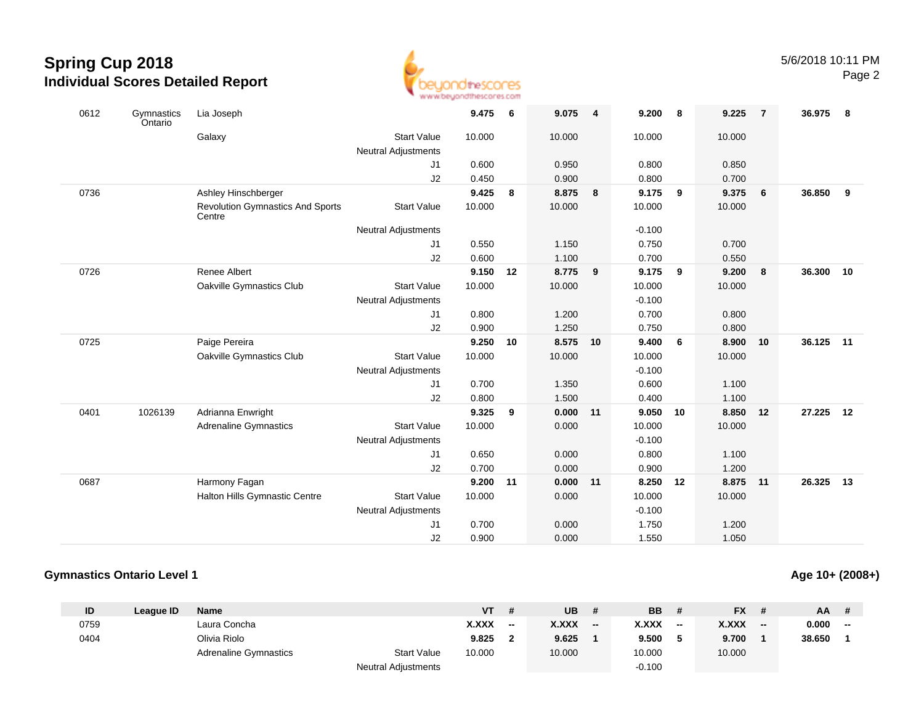

| 0612 | Gymnastics<br>Ontario | Lia Joseph                                        |                            | 9.475  | - 6 | 9.075  | $\overline{\mathbf{4}}$ | 9.200    | 8  | 9.225  | $\overline{7}$ | 36.975 | - 8 |
|------|-----------------------|---------------------------------------------------|----------------------------|--------|-----|--------|-------------------------|----------|----|--------|----------------|--------|-----|
|      |                       | Galaxy                                            | <b>Start Value</b>         | 10.000 |     | 10.000 |                         | 10.000   |    | 10.000 |                |        |     |
|      |                       |                                                   | <b>Neutral Adjustments</b> |        |     |        |                         |          |    |        |                |        |     |
|      |                       |                                                   | J1                         | 0.600  |     | 0.950  |                         | 0.800    |    | 0.850  |                |        |     |
|      |                       |                                                   | J2                         | 0.450  |     | 0.900  |                         | 0.800    |    | 0.700  |                |        |     |
| 0736 |                       | Ashley Hinschberger                               |                            | 9.425  | 8   | 8.875  | 8                       | 9.175    | 9  | 9.375  | 6              | 36.850 | 9   |
|      |                       | <b>Revolution Gymnastics And Sports</b><br>Centre | <b>Start Value</b>         | 10.000 |     | 10.000 |                         | 10.000   |    | 10.000 |                |        |     |
|      |                       |                                                   | <b>Neutral Adjustments</b> |        |     |        |                         | $-0.100$ |    |        |                |        |     |
|      |                       |                                                   | J1                         | 0.550  |     | 1.150  |                         | 0.750    |    | 0.700  |                |        |     |
|      |                       |                                                   | J2                         | 0.600  |     | 1.100  |                         | 0.700    |    | 0.550  |                |        |     |
| 0726 |                       | Renee Albert                                      |                            | 9.150  | 12  | 8.775  | 9                       | 9.175    | 9  | 9.200  | 8              | 36.300 | 10  |
|      |                       | Oakville Gymnastics Club                          | <b>Start Value</b>         | 10.000 |     | 10.000 |                         | 10.000   |    | 10.000 |                |        |     |
|      |                       |                                                   | <b>Neutral Adjustments</b> |        |     |        |                         | $-0.100$ |    |        |                |        |     |
|      |                       |                                                   | J1                         | 0.800  |     | 1.200  |                         | 0.700    |    | 0.800  |                |        |     |
|      |                       |                                                   | J2                         | 0.900  |     | 1.250  |                         | 0.750    |    | 0.800  |                |        |     |
| 0725 |                       | Paige Pereira                                     |                            | 9.250  | 10  | 8.575  | 10                      | 9.400    | 6  | 8.900  | 10             | 36.125 | 11  |
|      |                       | Oakville Gymnastics Club                          | <b>Start Value</b>         | 10.000 |     | 10.000 |                         | 10.000   |    | 10.000 |                |        |     |
|      |                       |                                                   | <b>Neutral Adjustments</b> |        |     |        |                         | $-0.100$ |    |        |                |        |     |
|      |                       |                                                   | J1                         | 0.700  |     | 1.350  |                         | 0.600    |    | 1.100  |                |        |     |
|      |                       |                                                   | J2                         | 0.800  |     | 1.500  |                         | 0.400    |    | 1.100  |                |        |     |
| 0401 | 1026139               | Adrianna Enwright                                 |                            | 9.325  | 9   | 0.000  | 11                      | 9.050    | 10 | 8.850  | 12             | 27.225 | 12  |
|      |                       | <b>Adrenaline Gymnastics</b>                      | <b>Start Value</b>         | 10.000 |     | 0.000  |                         | 10.000   |    | 10.000 |                |        |     |
|      |                       |                                                   | <b>Neutral Adjustments</b> |        |     |        |                         | $-0.100$ |    |        |                |        |     |
|      |                       |                                                   | J1                         | 0.650  |     | 0.000  |                         | 0.800    |    | 1.100  |                |        |     |
|      |                       |                                                   | J2                         | 0.700  |     | 0.000  |                         | 0.900    |    | 1.200  |                |        |     |
| 0687 |                       | Harmony Fagan                                     |                            | 9.200  | 11  | 0.000  | 11                      | 8.250    | 12 | 8.875  | 11             | 26.325 | 13  |
|      |                       | Halton Hills Gymnastic Centre                     | <b>Start Value</b>         | 10.000 |     | 0.000  |                         | 10.000   |    | 10.000 |                |        |     |
|      |                       |                                                   | <b>Neutral Adjustments</b> |        |     |        |                         | $-0.100$ |    |        |                |        |     |
|      |                       |                                                   | J <sub>1</sub>             | 0.700  |     | 0.000  |                         | 1.750    |    | 1.200  |                |        |     |
|      |                       |                                                   | J2                         | 0.900  |     | 0.000  |                         | 1.550    |    | 1.050  |                |        |     |

### **Gymnastics Ontario Level 1**

#### **ID League ID Name VT # UB # BB # FX # AA #** 0759 Laura Concha **X.XXX -- X.XXX -- X.XXX -- X.XXX -- 0.000 --** 0404 Olivia Riolo **9.825 <sup>2</sup> 9.625 <sup>1</sup> 9.500 <sup>5</sup> 9.700 <sup>1</sup> 38.650 <sup>1</sup>** Adrenaline Gymnastics Start Valuee 10.000 10.000 10.000 10.000 Neutral Adjustments $-0.100$

## **Age 10+ (2008+)**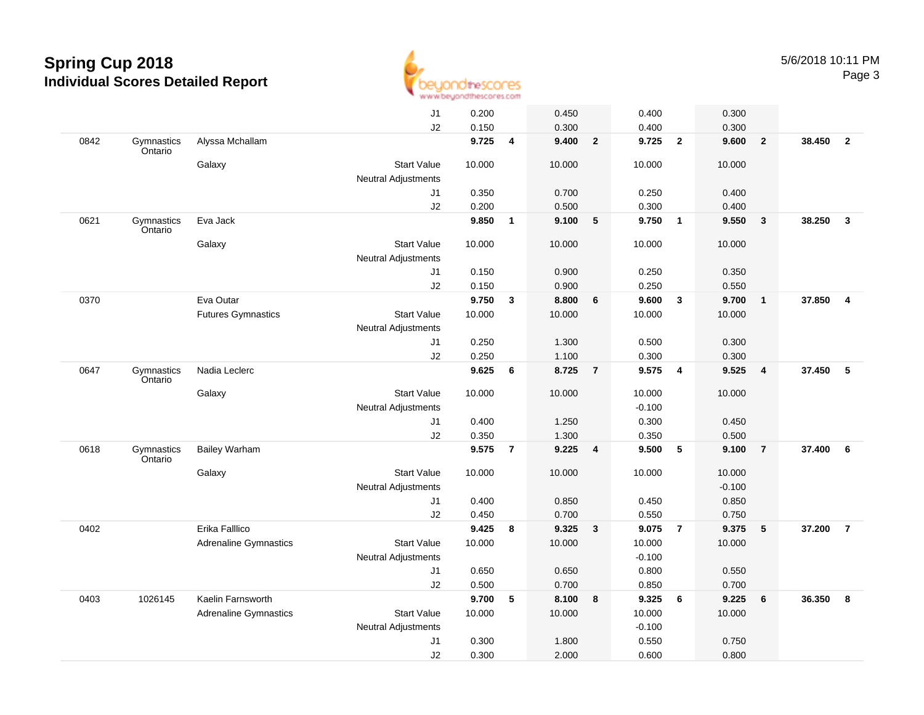

|      |                       |                              | J1                         | 0.200  |                | 0.450  |                         | 0.400    |                | 0.300    |                 |        |                |
|------|-----------------------|------------------------------|----------------------------|--------|----------------|--------|-------------------------|----------|----------------|----------|-----------------|--------|----------------|
|      |                       |                              | J2                         | 0.150  |                | 0.300  |                         | 0.400    |                | 0.300    |                 |        |                |
| 0842 | Gymnastics<br>Ontario | Alyssa Mchallam              |                            | 9.725  | 4              | 9.400  | $\overline{2}$          | 9.725    | $\overline{2}$ | 9.600    | $\overline{2}$  | 38.450 | $\overline{2}$ |
|      |                       | Galaxy                       | <b>Start Value</b>         | 10.000 |                | 10.000 |                         | 10.000   |                | 10.000   |                 |        |                |
|      |                       |                              | Neutral Adjustments        |        |                |        |                         |          |                |          |                 |        |                |
|      |                       |                              | J1                         | 0.350  |                | 0.700  |                         | 0.250    |                | 0.400    |                 |        |                |
|      |                       |                              | J2                         | 0.200  |                | 0.500  |                         | 0.300    |                | 0.400    |                 |        |                |
| 0621 | Gymnastics<br>Ontario | Eva Jack                     |                            | 9.850  | $\mathbf{1}$   | 9.100  | $5\phantom{.0}$         | 9.750    | $\overline{1}$ | 9.550    | $\mathbf{3}$    | 38.250 | $\overline{3}$ |
|      |                       | Galaxy                       | <b>Start Value</b>         | 10.000 |                | 10.000 |                         | 10.000   |                | 10.000   |                 |        |                |
|      |                       |                              | <b>Neutral Adjustments</b> |        |                |        |                         |          |                |          |                 |        |                |
|      |                       |                              | J1                         | 0.150  |                | 0.900  |                         | 0.250    |                | 0.350    |                 |        |                |
|      |                       |                              | J2                         | 0.150  |                | 0.900  |                         | 0.250    |                | 0.550    |                 |        |                |
| 0370 |                       | Eva Outar                    |                            | 9.750  | 3              | 8.800  | 6                       | 9.600    | $\mathbf{3}$   | 9.700    | $\overline{1}$  | 37.850 | $\overline{4}$ |
|      |                       | <b>Futures Gymnastics</b>    | <b>Start Value</b>         | 10.000 |                | 10.000 |                         | 10.000   |                | 10.000   |                 |        |                |
|      |                       |                              | <b>Neutral Adjustments</b> |        |                |        |                         |          |                |          |                 |        |                |
|      |                       |                              | J <sub>1</sub>             | 0.250  |                | 1.300  |                         | 0.500    |                | 0.300    |                 |        |                |
|      |                       |                              | J2                         | 0.250  |                | 1.100  |                         | 0.300    |                | 0.300    |                 |        |                |
| 0647 | Gymnastics<br>Ontario | Nadia Leclerc                |                            | 9.625  | 6              | 8.725  | $\overline{7}$          | 9.575    | $\overline{a}$ | 9.525    | $\overline{4}$  | 37.450 | 5              |
|      |                       | Galaxy                       | <b>Start Value</b>         | 10.000 |                | 10.000 |                         | 10.000   |                | 10.000   |                 |        |                |
|      |                       |                              | Neutral Adjustments        |        |                |        |                         | $-0.100$ |                |          |                 |        |                |
|      |                       |                              | J1                         | 0.400  |                | 1.250  |                         | 0.300    |                | 0.450    |                 |        |                |
|      |                       |                              | J2                         | 0.350  |                | 1.300  |                         | 0.350    |                | 0.500    |                 |        |                |
| 0618 | Gymnastics<br>Ontario | <b>Bailey Warham</b>         |                            | 9.575  | $\overline{7}$ | 9.225  | 4                       | 9.500    | 5              | 9.100    | $\overline{7}$  | 37.400 | 6              |
|      |                       | Galaxy                       | <b>Start Value</b>         | 10.000 |                | 10.000 |                         | 10.000   |                | 10.000   |                 |        |                |
|      |                       |                              | <b>Neutral Adjustments</b> |        |                |        |                         |          |                | $-0.100$ |                 |        |                |
|      |                       |                              | J1                         | 0.400  |                | 0.850  |                         | 0.450    |                | 0.850    |                 |        |                |
|      |                       |                              | J2                         | 0.450  |                | 0.700  |                         | 0.550    |                | 0.750    |                 |        |                |
| 0402 |                       | Erika Falllico               |                            | 9.425  | 8              | 9.325  | $\overline{\mathbf{3}}$ | 9.075    | $\overline{7}$ | 9.375    | 5               | 37.200 | $\overline{7}$ |
|      |                       | <b>Adrenaline Gymnastics</b> | <b>Start Value</b>         | 10.000 |                | 10.000 |                         | 10.000   |                | 10.000   |                 |        |                |
|      |                       |                              | <b>Neutral Adjustments</b> |        |                |        |                         | $-0.100$ |                |          |                 |        |                |
|      |                       |                              | J <sub>1</sub>             | 0.650  |                | 0.650  |                         | 0.800    |                | 0.550    |                 |        |                |
|      |                       |                              | J2                         | 0.500  |                | 0.700  |                         | 0.850    |                | 0.700    |                 |        |                |
| 0403 | 1026145               | Kaelin Farnsworth            |                            | 9.700  | 5              | 8.100  | 8                       | 9.325    | 6              | 9.225    | $6\phantom{1}6$ | 36.350 | 8              |
|      |                       | <b>Adrenaline Gymnastics</b> | <b>Start Value</b>         | 10.000 |                | 10.000 |                         | 10.000   |                | 10.000   |                 |        |                |
|      |                       |                              | <b>Neutral Adjustments</b> |        |                |        |                         | $-0.100$ |                |          |                 |        |                |
|      |                       |                              | J <sub>1</sub>             | 0.300  |                | 1.800  |                         | 0.550    |                | 0.750    |                 |        |                |
|      |                       |                              | J2                         | 0.300  |                | 2.000  |                         | 0.600    |                | 0.800    |                 |        |                |